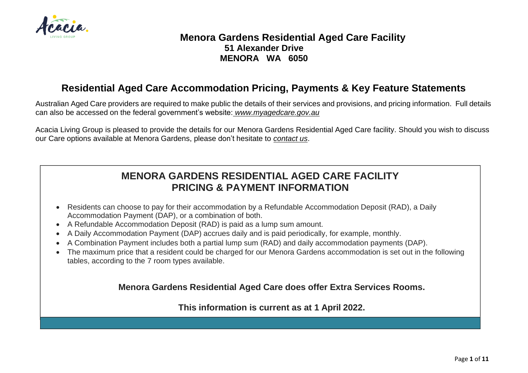

## **Menora Gardens Residential Aged Care Facility 51 Alexander Drive MENORA WA 6050**

## **Residential Aged Care Accommodation Pricing, Payments & Key Feature Statements**

Australian Aged Care providers are required to make public the details of their services and provisions, and pricing information. Full details can also be accessed on the federal government's website: *[www.myagedcare.gov.au](http://www.myagedcare.gov.au/)*

Acacia Living Group is pleased to provide the details for our Menora Gardens Residential Aged Care facility. Should you wish to discuss our Care options available at Menora Gardens, please don't hesitate to *contact us*.

## **MENORA GARDENS RESIDENTIAL AGED CARE FACILITY PRICING & PAYMENT INFORMATION**

- Residents can choose to pay for their accommodation by a Refundable Accommodation Deposit (RAD), a Daily Accommodation Payment (DAP), or a combination of both.
- A Refundable Accommodation Deposit (RAD) is paid as a lump sum amount.
- A Daily Accommodation Payment (DAP) accrues daily and is paid periodically, for example, monthly.
- A Combination Payment includes both a partial lump sum (RAD) and daily accommodation payments (DAP).
- The maximum price that a resident could be charged for our Menora Gardens accommodation is set out in the following tables, according to the 7 room types available.

**Menora Gardens Residential Aged Care does offer Extra Services Rooms.**

**This information is current as at 1 April 2022.**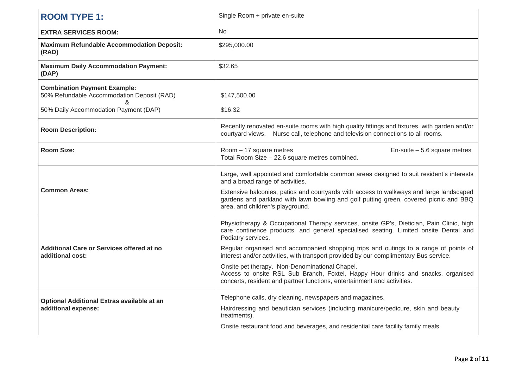| <b>ROOM TYPE 1:</b>                                                                    | Single Room + private en-suite                                                                                                                                                                                       |
|----------------------------------------------------------------------------------------|----------------------------------------------------------------------------------------------------------------------------------------------------------------------------------------------------------------------|
| <b>EXTRA SERVICES ROOM:</b>                                                            | No                                                                                                                                                                                                                   |
| <b>Maximum Refundable Accommodation Deposit:</b><br>(RAD)                              | \$295,000.00                                                                                                                                                                                                         |
| <b>Maximum Daily Accommodation Payment:</b><br>(DAP)                                   | \$32.65                                                                                                                                                                                                              |
| <b>Combination Payment Example:</b><br>50% Refundable Accommodation Deposit (RAD)<br>& | \$147,500.00                                                                                                                                                                                                         |
| 50% Daily Accommodation Payment (DAP)                                                  | \$16.32                                                                                                                                                                                                              |
| <b>Room Description:</b>                                                               | Recently renovated en-suite rooms with high quality fittings and fixtures, with garden and/or<br>courtyard views. Nurse call, telephone and television connections to all rooms.                                     |
| <b>Room Size:</b>                                                                      | Room - 17 square metres<br>En-suite $-5.6$ square metres<br>Total Room Size - 22.6 square metres combined.                                                                                                           |
| <b>Common Areas:</b>                                                                   | Large, well appointed and comfortable common areas designed to suit resident's interests<br>and a broad range of activities.                                                                                         |
|                                                                                        | Extensive balconies, patios and courtyards with access to walkways and large landscaped<br>gardens and parkland with lawn bowling and golf putting green, covered picnic and BBQ<br>area, and children's playground. |
|                                                                                        | Physiotherapy & Occupational Therapy services, onsite GP's, Dietician, Pain Clinic, high<br>care continence products, and general specialised seating. Limited onsite Dental and<br>Podiatry services.               |
| Additional Care or Services offered at no<br>additional cost:                          | Regular organised and accompanied shopping trips and outings to a range of points of<br>interest and/or activities, with transport provided by our complimentary Bus service.                                        |
|                                                                                        | Onsite pet therapy. Non-Denominational Chapel.<br>Access to onsite RSL Sub Branch, Foxtel, Happy Hour drinks and snacks, organised<br>concerts, resident and partner functions, entertainment and activities.        |
| Optional Additional Extras available at an<br>additional expense:                      | Telephone calls, dry cleaning, newspapers and magazines.                                                                                                                                                             |
|                                                                                        | Hairdressing and beautician services (including manicure/pedicure, skin and beauty<br>treatments).                                                                                                                   |
|                                                                                        | Onsite restaurant food and beverages, and residential care facility family meals.                                                                                                                                    |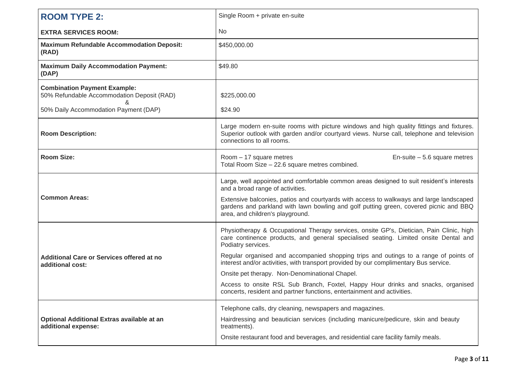| <b>ROOM TYPE 2:</b>                                                               | Single Room + private en-suite                                                                                                                                                                                       |
|-----------------------------------------------------------------------------------|----------------------------------------------------------------------------------------------------------------------------------------------------------------------------------------------------------------------|
| <b>EXTRA SERVICES ROOM:</b>                                                       | <b>No</b>                                                                                                                                                                                                            |
| <b>Maximum Refundable Accommodation Deposit:</b><br>(RAD)                         | \$450,000.00                                                                                                                                                                                                         |
| <b>Maximum Daily Accommodation Payment:</b><br>(DAP)                              | \$49.80                                                                                                                                                                                                              |
| <b>Combination Payment Example:</b><br>50% Refundable Accommodation Deposit (RAD) | \$225,000.00                                                                                                                                                                                                         |
| 50% Daily Accommodation Payment (DAP)                                             | \$24.90                                                                                                                                                                                                              |
| <b>Room Description:</b>                                                          | Large modern en-suite rooms with picture windows and high quality fittings and fixtures.<br>Superior outlook with garden and/or courtyard views. Nurse call, telephone and television<br>connections to all rooms.   |
| <b>Room Size:</b>                                                                 | Room - 17 square metres<br>En-suite $-5.6$ square metres<br>Total Room Size - 22.6 square metres combined.                                                                                                           |
|                                                                                   | Large, well appointed and comfortable common areas designed to suit resident's interests<br>and a broad range of activities.                                                                                         |
| <b>Common Areas:</b>                                                              | Extensive balconies, patios and courtyards with access to walkways and large landscaped<br>gardens and parkland with lawn bowling and golf putting green, covered picnic and BBQ<br>area, and children's playground. |
|                                                                                   | Physiotherapy & Occupational Therapy services, onsite GP's, Dietician, Pain Clinic, high<br>care continence products, and general specialised seating. Limited onsite Dental and<br>Podiatry services.               |
| <b>Additional Care or Services offered at no</b><br>additional cost:              | Regular organised and accompanied shopping trips and outings to a range of points of<br>interest and/or activities, with transport provided by our complimentary Bus service.                                        |
|                                                                                   | Onsite pet therapy. Non-Denominational Chapel.                                                                                                                                                                       |
|                                                                                   | Access to onsite RSL Sub Branch, Foxtel, Happy Hour drinks and snacks, organised<br>concerts, resident and partner functions, entertainment and activities.                                                          |
|                                                                                   | Telephone calls, dry cleaning, newspapers and magazines.                                                                                                                                                             |
| Optional Additional Extras available at an<br>additional expense:                 | Hairdressing and beautician services (including manicure/pedicure, skin and beauty<br>treatments).                                                                                                                   |
|                                                                                   | Onsite restaurant food and beverages, and residential care facility family meals.                                                                                                                                    |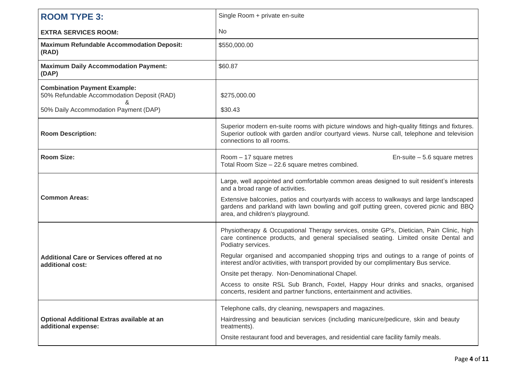| <b>ROOM TYPE 3:</b>                                                               | Single Room + private en-suite                                                                                                                                                                                        |
|-----------------------------------------------------------------------------------|-----------------------------------------------------------------------------------------------------------------------------------------------------------------------------------------------------------------------|
| <b>EXTRA SERVICES ROOM:</b>                                                       | <b>No</b>                                                                                                                                                                                                             |
| <b>Maximum Refundable Accommodation Deposit:</b><br>(RAD)                         | \$550,000.00                                                                                                                                                                                                          |
| <b>Maximum Daily Accommodation Payment:</b><br>(DAP)                              | \$60.87                                                                                                                                                                                                               |
| <b>Combination Payment Example:</b><br>50% Refundable Accommodation Deposit (RAD) | \$275,000.00                                                                                                                                                                                                          |
| 50% Daily Accommodation Payment (DAP)                                             | \$30.43                                                                                                                                                                                                               |
| <b>Room Description:</b>                                                          | Superior modern en-suite rooms with picture windows and high-quality fittings and fixtures.<br>Superior outlook with garden and/or courtyard views. Nurse call, telephone and television<br>connections to all rooms. |
| <b>Room Size:</b>                                                                 | Room - 17 square metres<br>En-suite $-5.6$ square metres<br>Total Room Size - 22.6 square metres combined.                                                                                                            |
|                                                                                   | Large, well appointed and comfortable common areas designed to suit resident's interests<br>and a broad range of activities.                                                                                          |
| <b>Common Areas:</b>                                                              | Extensive balconies, patios and courtyards with access to walkways and large landscaped<br>gardens and parkland with lawn bowling and golf putting green, covered picnic and BBQ<br>area, and children's playground.  |
|                                                                                   | Physiotherapy & Occupational Therapy services, onsite GP's, Dietician, Pain Clinic, high<br>care continence products, and general specialised seating. Limited onsite Dental and<br>Podiatry services.                |
| <b>Additional Care or Services offered at no</b><br>additional cost:              | Regular organised and accompanied shopping trips and outings to a range of points of<br>interest and/or activities, with transport provided by our complimentary Bus service.                                         |
|                                                                                   | Onsite pet therapy. Non-Denominational Chapel.                                                                                                                                                                        |
|                                                                                   | Access to onsite RSL Sub Branch, Foxtel, Happy Hour drinks and snacks, organised<br>concerts, resident and partner functions, entertainment and activities.                                                           |
|                                                                                   | Telephone calls, dry cleaning, newspapers and magazines.                                                                                                                                                              |
| Optional Additional Extras available at an<br>additional expense:                 | Hairdressing and beautician services (including manicure/pedicure, skin and beauty<br>treatments).                                                                                                                    |
|                                                                                   | Onsite restaurant food and beverages, and residential care facility family meals.                                                                                                                                     |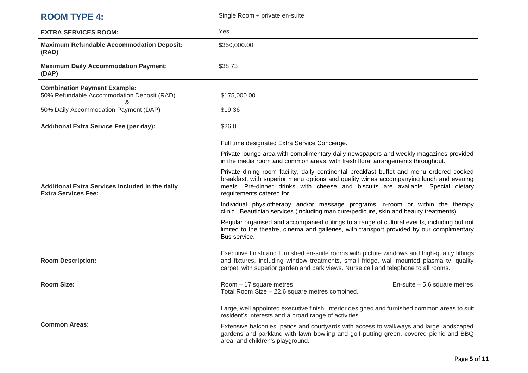| <b>ROOM TYPE 4:</b>                                                                    | Single Room + private en-suite                                                                                                                                                                                                                                                                      |
|----------------------------------------------------------------------------------------|-----------------------------------------------------------------------------------------------------------------------------------------------------------------------------------------------------------------------------------------------------------------------------------------------------|
| <b>EXTRA SERVICES ROOM:</b>                                                            | Yes                                                                                                                                                                                                                                                                                                 |
| <b>Maximum Refundable Accommodation Deposit:</b><br>(RAD)                              | \$350,000.00                                                                                                                                                                                                                                                                                        |
| <b>Maximum Daily Accommodation Payment:</b><br>(DAP)                                   | \$38.73                                                                                                                                                                                                                                                                                             |
| <b>Combination Payment Example:</b><br>50% Refundable Accommodation Deposit (RAD)<br>ጼ | \$175,000.00                                                                                                                                                                                                                                                                                        |
| 50% Daily Accommodation Payment (DAP)                                                  | \$19.36                                                                                                                                                                                                                                                                                             |
| <b>Additional Extra Service Fee (per day):</b>                                         | \$26.0                                                                                                                                                                                                                                                                                              |
|                                                                                        | Full time designated Extra Service Concierge.                                                                                                                                                                                                                                                       |
| <b>Additional Extra Services included in the daily</b><br><b>Extra Services Fee:</b>   | Private lounge area with complimentary daily newspapers and weekly magazines provided<br>in the media room and common areas, with fresh floral arrangements throughout.                                                                                                                             |
|                                                                                        | Private dining room facility, daily continental breakfast buffet and menu ordered cooked<br>breakfast, with superior menu options and quality wines accompanying lunch and evening<br>meals. Pre-dinner drinks with cheese and biscuits are available. Special dietary<br>requirements catered for. |
|                                                                                        | Individual physiotherapy and/or massage programs in-room or within the therapy<br>clinic. Beautician services (including manicure/pedicure, skin and beauty treatments).                                                                                                                            |
|                                                                                        | Regular organised and accompanied outings to a range of cultural events, including but not<br>limited to the theatre, cinema and galleries, with transport provided by our complimentary<br>Bus service.                                                                                            |
| <b>Room Description:</b>                                                               | Executive finish and furnished en-suite rooms with picture windows and high-quality fittings<br>and fixtures, including window treatments, small fridge, wall mounted plasma tv, quality<br>carpet, with superior garden and park views. Nurse call and telephone to all rooms.                     |
| <b>Room Size:</b>                                                                      | $Room - 17$ square metres<br>En-suite $-5.6$ square metres<br>Total Room Size – 22.6 square metres combined.                                                                                                                                                                                        |
|                                                                                        | Large, well appointed executive finish, interior designed and furnished common areas to suit<br>resident's interests and a broad range of activities.                                                                                                                                               |
| <b>Common Areas:</b>                                                                   | Extensive balconies, patios and courtyards with access to walkways and large landscaped<br>gardens and parkland with lawn bowling and golf putting green, covered picnic and BBQ<br>area, and children's playground.                                                                                |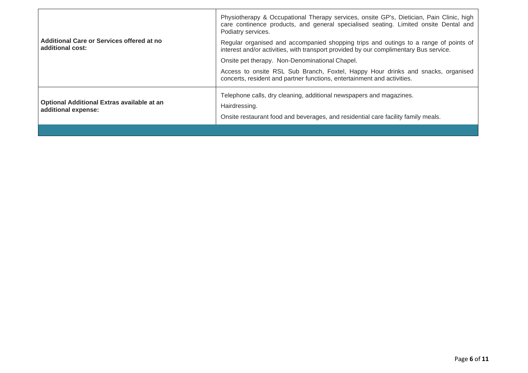| Additional Care or Services offered at no<br>additional cost:            | Physiotherapy & Occupational Therapy services, onsite GP's, Dietician, Pain Clinic, high<br>care continence products, and general specialised seating. Limited onsite Dental and<br>Podiatry services. |
|--------------------------------------------------------------------------|--------------------------------------------------------------------------------------------------------------------------------------------------------------------------------------------------------|
|                                                                          | Regular organised and accompanied shopping trips and outings to a range of points of<br>interest and/or activities, with transport provided by our complimentary Bus service.                          |
|                                                                          | Onsite pet therapy. Non-Denominational Chapel.                                                                                                                                                         |
|                                                                          | Access to onsite RSL Sub Branch, Foxtel, Happy Hour drinks and snacks, organised<br>concerts, resident and partner functions, entertainment and activities.                                            |
| <b>Optional Additional Extras available at an</b><br>additional expense: | Telephone calls, dry cleaning, additional newspapers and magazines.                                                                                                                                    |
|                                                                          | Hairdressing.                                                                                                                                                                                          |
|                                                                          | Onsite restaurant food and beverages, and residential care facility family meals.                                                                                                                      |
|                                                                          |                                                                                                                                                                                                        |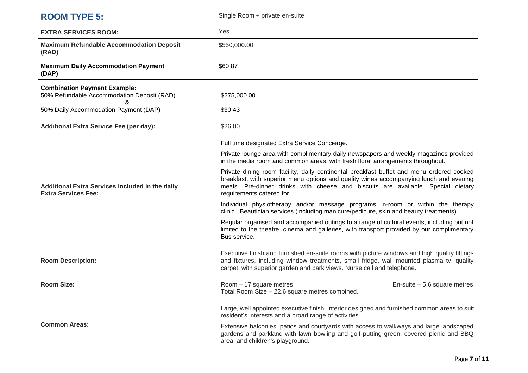| <b>ROOM TYPE 5:</b>                                                                  | Single Room + private en-suite                                                                                                                                                                                                                                                                      |
|--------------------------------------------------------------------------------------|-----------------------------------------------------------------------------------------------------------------------------------------------------------------------------------------------------------------------------------------------------------------------------------------------------|
| <b>EXTRA SERVICES ROOM:</b>                                                          | Yes                                                                                                                                                                                                                                                                                                 |
| <b>Maximum Refundable Accommodation Deposit</b><br>(RAD)                             | \$550,000.00                                                                                                                                                                                                                                                                                        |
| <b>Maximum Daily Accommodation Payment</b><br>(DAP)                                  | \$60.87                                                                                                                                                                                                                                                                                             |
| <b>Combination Payment Example:</b><br>50% Refundable Accommodation Deposit (RAD)    | \$275,000.00                                                                                                                                                                                                                                                                                        |
| 50% Daily Accommodation Payment (DAP)                                                | \$30.43                                                                                                                                                                                                                                                                                             |
| <b>Additional Extra Service Fee (per day):</b>                                       | \$26.00                                                                                                                                                                                                                                                                                             |
|                                                                                      | Full time designated Extra Service Concierge.                                                                                                                                                                                                                                                       |
| <b>Additional Extra Services included in the daily</b><br><b>Extra Services Fee:</b> | Private lounge area with complimentary daily newspapers and weekly magazines provided<br>in the media room and common areas, with fresh floral arrangements throughout.                                                                                                                             |
|                                                                                      | Private dining room facility, daily continental breakfast buffet and menu ordered cooked<br>breakfast, with superior menu options and quality wines accompanying lunch and evening<br>meals. Pre-dinner drinks with cheese and biscuits are available. Special dietary<br>requirements catered for. |
|                                                                                      | Individual physiotherapy and/or massage programs in-room or within the therapy<br>clinic. Beautician services (including manicure/pedicure, skin and beauty treatments).                                                                                                                            |
|                                                                                      | Regular organised and accompanied outings to a range of cultural events, including but not<br>limited to the theatre, cinema and galleries, with transport provided by our complimentary<br>Bus service.                                                                                            |
| <b>Room Description:</b>                                                             | Executive finish and furnished en-suite rooms with picture windows and high quality fittings<br>and fixtures, including window treatments, small fridge, wall mounted plasma tv, quality<br>carpet, with superior garden and park views. Nurse call and telephone.                                  |
| <b>Room Size:</b>                                                                    | $Room - 17$ square metres<br>En-suite $-5.6$ square metres<br>Total Room Size - 22.6 square metres combined.                                                                                                                                                                                        |
|                                                                                      | Large, well appointed executive finish, interior designed and furnished common areas to suit<br>resident's interests and a broad range of activities.                                                                                                                                               |
| <b>Common Areas:</b>                                                                 | Extensive balconies, patios and courtyards with access to walkways and large landscaped<br>gardens and parkland with lawn bowling and golf putting green, covered picnic and BBQ<br>area, and children's playground.                                                                                |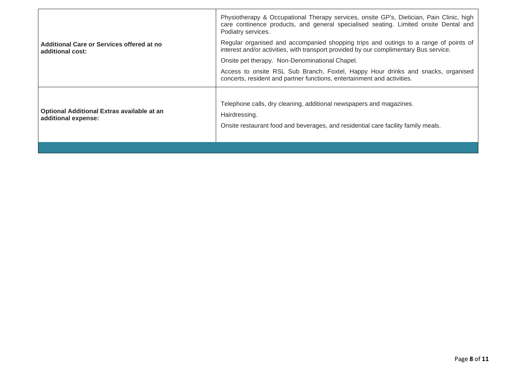|                                                                          | Physiotherapy & Occupational Therapy services, onsite GP's, Dietician, Pain Clinic, high<br>care continence products, and general specialised seating. Limited onsite Dental and<br>Podiatry services. |
|--------------------------------------------------------------------------|--------------------------------------------------------------------------------------------------------------------------------------------------------------------------------------------------------|
| Additional Care or Services offered at no<br>additional cost:            | Regular organised and accompanied shopping trips and outings to a range of points of<br>interest and/or activities, with transport provided by our complimentary Bus service.                          |
|                                                                          | Onsite pet therapy. Non-Denominational Chapel.                                                                                                                                                         |
|                                                                          | Access to onsite RSL Sub Branch, Foxtel, Happy Hour drinks and snacks, organised<br>concerts, resident and partner functions, entertainment and activities.                                            |
| <b>Optional Additional Extras available at an</b><br>additional expense: | Telephone calls, dry cleaning, additional newspapers and magazines.<br>Hairdressing.<br>Onsite restaurant food and beverages, and residential care facility family meals.                              |
|                                                                          |                                                                                                                                                                                                        |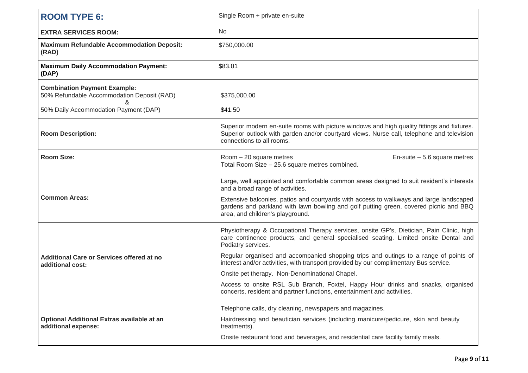| <b>ROOM TYPE 6:</b>                                                               | Single Room + private en-suite                                                                                                                                                                                        |
|-----------------------------------------------------------------------------------|-----------------------------------------------------------------------------------------------------------------------------------------------------------------------------------------------------------------------|
| <b>EXTRA SERVICES ROOM:</b>                                                       | <b>No</b>                                                                                                                                                                                                             |
| <b>Maximum Refundable Accommodation Deposit:</b><br>(RAD)                         | \$750,000.00                                                                                                                                                                                                          |
| <b>Maximum Daily Accommodation Payment:</b><br>(DAP)                              | \$83.01                                                                                                                                                                                                               |
| <b>Combination Payment Example:</b><br>50% Refundable Accommodation Deposit (RAD) | \$375,000.00                                                                                                                                                                                                          |
| 50% Daily Accommodation Payment (DAP)                                             | \$41.50                                                                                                                                                                                                               |
| <b>Room Description:</b>                                                          | Superior modern en-suite rooms with picture windows and high quality fittings and fixtures.<br>Superior outlook with garden and/or courtyard views. Nurse call, telephone and television<br>connections to all rooms. |
| <b>Room Size:</b>                                                                 | Room - 20 square metres<br>En-suite $-5.6$ square metres<br>Total Room Size - 25.6 square metres combined.                                                                                                            |
|                                                                                   | Large, well appointed and comfortable common areas designed to suit resident's interests<br>and a broad range of activities.                                                                                          |
| <b>Common Areas:</b>                                                              | Extensive balconies, patios and courtyards with access to walkways and large landscaped<br>gardens and parkland with lawn bowling and golf putting green, covered picnic and BBQ<br>area, and children's playground.  |
|                                                                                   | Physiotherapy & Occupational Therapy services, onsite GP's, Dietician, Pain Clinic, high<br>care continence products, and general specialised seating. Limited onsite Dental and<br>Podiatry services.                |
| Additional Care or Services offered at no<br>additional cost:                     | Regular organised and accompanied shopping trips and outings to a range of points of<br>interest and/or activities, with transport provided by our complimentary Bus service.                                         |
|                                                                                   | Onsite pet therapy. Non-Denominational Chapel.                                                                                                                                                                        |
|                                                                                   | Access to onsite RSL Sub Branch, Foxtel, Happy Hour drinks and snacks, organised<br>concerts, resident and partner functions, entertainment and activities.                                                           |
|                                                                                   | Telephone calls, dry cleaning, newspapers and magazines.                                                                                                                                                              |
| Optional Additional Extras available at an<br>additional expense:                 | Hairdressing and beautician services (including manicure/pedicure, skin and beauty<br>treatments).                                                                                                                    |
|                                                                                   | Onsite restaurant food and beverages, and residential care facility family meals.                                                                                                                                     |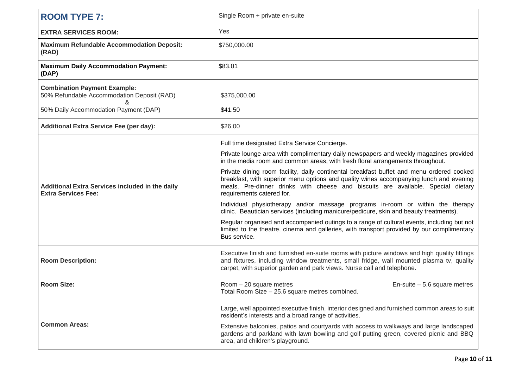| <b>ROOM TYPE 7:</b>                                                                  | Single Room + private en-suite                                                                                                                                                                                                                                                                      |
|--------------------------------------------------------------------------------------|-----------------------------------------------------------------------------------------------------------------------------------------------------------------------------------------------------------------------------------------------------------------------------------------------------|
| <b>EXTRA SERVICES ROOM:</b>                                                          | Yes                                                                                                                                                                                                                                                                                                 |
| <b>Maximum Refundable Accommodation Deposit:</b><br>(RAD)                            | \$750,000.00                                                                                                                                                                                                                                                                                        |
| <b>Maximum Daily Accommodation Payment:</b><br>(DAP)                                 | \$83.01                                                                                                                                                                                                                                                                                             |
| <b>Combination Payment Example:</b><br>50% Refundable Accommodation Deposit (RAD)    | \$375,000.00                                                                                                                                                                                                                                                                                        |
| 50% Daily Accommodation Payment (DAP)                                                | \$41.50                                                                                                                                                                                                                                                                                             |
| <b>Additional Extra Service Fee (per day):</b>                                       | \$26.00                                                                                                                                                                                                                                                                                             |
|                                                                                      | Full time designated Extra Service Concierge.                                                                                                                                                                                                                                                       |
| <b>Additional Extra Services included in the daily</b><br><b>Extra Services Fee:</b> | Private lounge area with complimentary daily newspapers and weekly magazines provided<br>in the media room and common areas, with fresh floral arrangements throughout.                                                                                                                             |
|                                                                                      | Private dining room facility, daily continental breakfast buffet and menu ordered cooked<br>breakfast, with superior menu options and quality wines accompanying lunch and evening<br>meals. Pre-dinner drinks with cheese and biscuits are available. Special dietary<br>requirements catered for. |
|                                                                                      | Individual physiotherapy and/or massage programs in-room or within the therapy<br>clinic. Beautician services (including manicure/pedicure, skin and beauty treatments).                                                                                                                            |
|                                                                                      | Regular organised and accompanied outings to a range of cultural events, including but not<br>limited to the theatre, cinema and galleries, with transport provided by our complimentary<br>Bus service.                                                                                            |
| <b>Room Description:</b>                                                             | Executive finish and furnished en-suite rooms with picture windows and high quality fittings<br>and fixtures, including window treatments, small fridge, wall mounted plasma tv, quality<br>carpet, with superior garden and park views. Nurse call and telephone.                                  |
| <b>Room Size:</b>                                                                    | $Room - 20$ square metres<br>En-suite $-5.6$ square metres<br>Total Room Size – 25.6 square metres combined.                                                                                                                                                                                        |
|                                                                                      | Large, well appointed executive finish, interior designed and furnished common areas to suit<br>resident's interests and a broad range of activities.                                                                                                                                               |
| <b>Common Areas:</b>                                                                 | Extensive balconies, patios and courtyards with access to walkways and large landscaped<br>gardens and parkland with lawn bowling and golf putting green, covered picnic and BBQ<br>area, and children's playground.                                                                                |